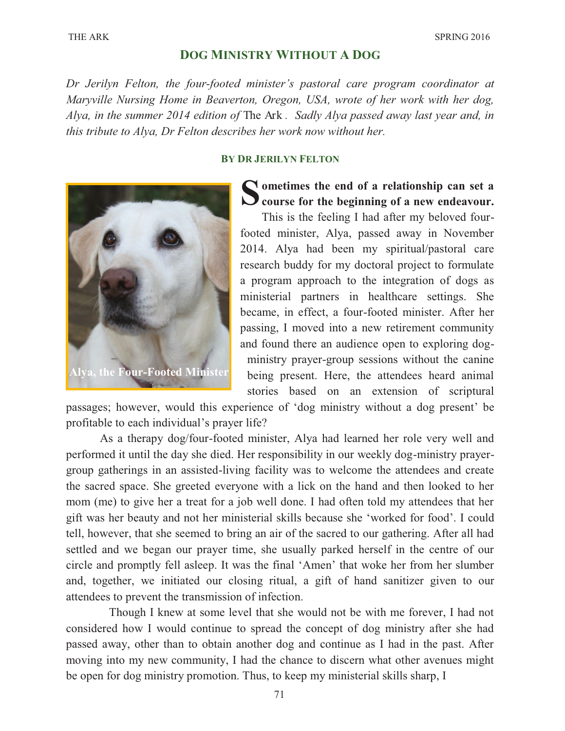# **DOG MINISTRY WITHOUT A DOG**

*Dr Jerilyn Felton, the four-footed minister's pastoral care program coordinator at Maryville Nursing Home in Beaverton, Oregon, USA, wrote of her work with her dog, Alya, in the summer 2014 edition of* The Ark *. Sadly Alya passed away last year and, in this tribute to Alya, Dr Felton describes her work now without her.*

#### **BY DR JERILYN FELTON**



Solutions the end of a relationship can set a course for the beginning of a new endeavour. **ometimes the end of a relationship can set a** 

This is the feeling I had after my beloved fourfooted minister, Alya, passed away in November 2014. Alya had been my spiritual/pastoral care research buddy for my doctoral project to formulate a program approach to the integration of dogs as ministerial partners in healthcare settings. She became, in effect, a four-footed minister. After her passing, I moved into a new retirement community and found there an audience open to exploring dogministry prayer-group sessions without the canine being present. Here, the attendees heard animal stories based on an extension of scriptural

passages; however, would this experience of 'dog ministry without a dog present' be profitable to each individual's prayer life?

As a therapy dog/four-footed minister, Alya had learned her role very well and performed it until the day she died. Her responsibility in our weekly dog-ministry prayergroup gatherings in an assisted-living facility was to welcome the attendees and create the sacred space. She greeted everyone with a lick on the hand and then looked to her mom (me) to give her a treat for a job well done. I had often told my attendees that her gift was her beauty and not her ministerial skills because she 'worked for food'. I could tell, however, that she seemed to bring an air of the sacred to our gathering. After all had settled and we began our prayer time, she usually parked herself in the centre of our circle and promptly fell asleep. It was the final 'Amen' that woke her from her slumber and, together, we initiated our closing ritual, a gift of hand sanitizer given to our attendees to prevent the transmission of infection.

Though I knew at some level that she would not be with me forever, I had not considered how I would continue to spread the concept of dog ministry after she had passed away, other than to obtain another dog and continue as I had in the past. After moving into my new community, I had the chance to discern what other avenues might be open for dog ministry promotion. Thus, to keep my ministerial skills sharp, I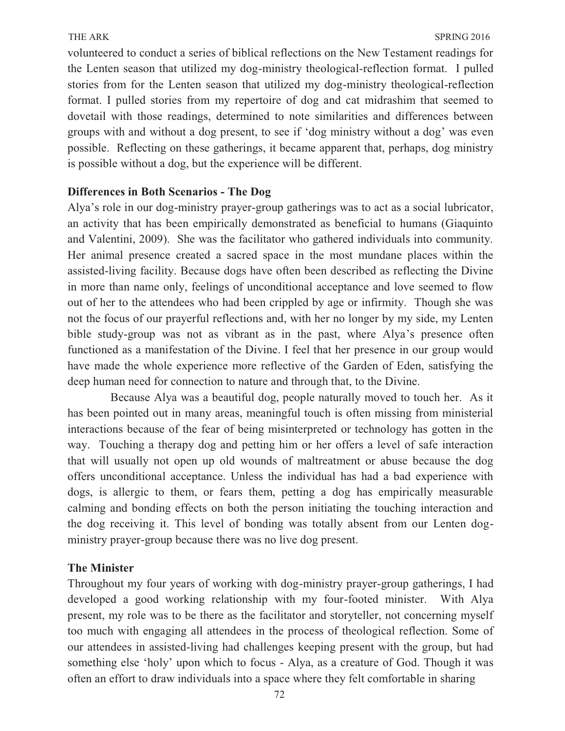volunteered to conduct a series of biblical reflections on the New Testament readings for the Lenten season that utilized my dog-ministry theological-reflection format. I pulled stories from for the Lenten season that utilized my dog-ministry theological-reflection format. I pulled stories from my repertoire of dog and cat midrashim that seemed to dovetail with those readings, determined to note similarities and differences between groups with and without a dog present, to see if 'dog ministry without a dog' was even possible. Reflecting on these gatherings, it became apparent that, perhaps, dog ministry is possible without a dog, but the experience will be different.

# **Differences in Both Scenarios - The Dog**

Alya's role in our dog-ministry prayer-group gatherings was to act as a social lubricator, an activity that has been empirically demonstrated as beneficial to humans (Giaquinto and Valentini, 2009). She was the facilitator who gathered individuals into community. Her animal presence created a sacred space in the most mundane places within the assisted-living facility. Because dogs have often been described as reflecting the Divine in more than name only, feelings of unconditional acceptance and love seemed to flow out of her to the attendees who had been crippled by age or infirmity. Though she was not the focus of our prayerful reflections and, with her no longer by my side, my Lenten bible study-group was not as vibrant as in the past, where Alya's presence often functioned as a manifestation of the Divine. I feel that her presence in our group would have made the whole experience more reflective of the Garden of Eden, satisfying the deep human need for connection to nature and through that, to the Divine.

Because Alya was a beautiful dog, people naturally moved to touch her. As it has been pointed out in many areas, meaningful touch is often missing from ministerial interactions because of the fear of being misinterpreted or technology has gotten in the way. Touching a therapy dog and petting him or her offers a level of safe interaction that will usually not open up old wounds of maltreatment or abuse because the dog offers unconditional acceptance. Unless the individual has had a bad experience with dogs, is allergic to them, or fears them, petting a dog has empirically measurable calming and bonding effects on both the person initiating the touching interaction and the dog receiving it. This level of bonding was totally absent from our Lenten dogministry prayer-group because there was no live dog present.

## **The Minister**

Throughout my four years of working with dog-ministry prayer-group gatherings, I had developed a good working relationship with my four-footed minister. With Alya present, my role was to be there as the facilitator and storyteller, not concerning myself too much with engaging all attendees in the process of theological reflection. Some of our attendees in assisted-living had challenges keeping present with the group, but had something else 'holy' upon which to focus - Alya, as a creature of God. Though it was often an effort to draw individuals into a space where they felt comfortable in sharing